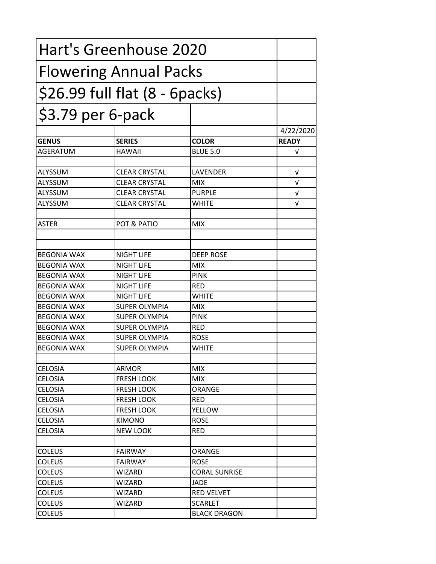|                               | Hart's Greenhouse 2020             |                      |              |
|-------------------------------|------------------------------------|----------------------|--------------|
| <b>Flowering Annual Packs</b> |                                    |                      |              |
|                               | $$26.99$ full flat $(8 - 6$ packs) |                      |              |
| \$3.79 per 6-pack             |                                    |                      |              |
|                               |                                    |                      | 4/22/2020    |
| <b>GENUS</b>                  | <b>SERIES</b>                      | <b>COLOR</b>         | <b>READY</b> |
| AGERATUM                      | <b>HAWAII</b>                      | <b>BLUE 5.0</b>      | V            |
| <b>ALYSSUM</b>                | <b>CLEAR CRYSTAL</b>               | LAVENDER             | V            |
| ALYSSUM                       | <b>CLEAR CRYSTAL</b>               | <b>MIX</b>           | $\sqrt{ }$   |
| ALYSSUM                       | <b>CLEAR CRYSTAL</b>               | PURPLE               | V            |
| ALYSSUM                       | <b>CLEAR CRYSTAL</b>               | <b>WHITE</b>         | $\sqrt{ }$   |
| <b>ASTER</b>                  | POT & PATIO                        | <b>MIX</b>           |              |
|                               |                                    |                      |              |
| <b>BEGONIA WAX</b>            | <b>NIGHT LIFE</b>                  | <b>DEEP ROSE</b>     |              |
| <b>BEGONIA WAX</b>            | <b>NIGHT LIFE</b>                  | <b>MIX</b>           |              |
| <b>BEGONIA WAX</b>            | <b>NIGHT LIFE</b>                  | <b>PINK</b>          |              |
| <b>BEGONIA WAX</b>            | <b>NIGHT LIFE</b>                  | <b>RED</b>           |              |
| <b>BEGONIA WAX</b>            | <b>NIGHT LIFE</b>                  | <b>WHITE</b>         |              |
| <b>BEGONIA WAX</b>            | <b>SUPER OLYMPIA</b>               | <b>MIX</b>           |              |
| <b>BEGONIA WAX</b>            | <b>SUPER OLYMPIA</b>               | <b>PINK</b>          |              |
| <b>BEGONIA WAX</b>            | <b>SUPER OLYMPIA</b>               | <b>RED</b>           |              |
| <b>BEGONIA WAX</b>            | <b>SUPER OLYMPIA</b>               | <b>ROSE</b>          |              |
| <b>BEGONIA WAX</b>            | <b>SUPER OLYMPIA</b>               | <b>WHITE</b>         |              |
| <b>CELOSIA</b>                | <b>ARMOR</b>                       | <b>MIX</b>           |              |
| <b>CELOSIA</b>                | <b>FRESH LOOK</b>                  | <b>MIX</b>           |              |
| <b>CELOSIA</b>                | <b>FRESH LOOK</b>                  | ORANGE               |              |
| <b>CELOSIA</b>                | <b>FRESH LOOK</b>                  | <b>RED</b>           |              |
| <b>CELOSIA</b>                | <b>FRESH LOOK</b>                  | YELLOW               |              |
| <b>CELOSIA</b>                | <b>KIMONO</b>                      | <b>ROSE</b>          |              |
| <b>CELOSIA</b>                | <b>NEW LOOK</b>                    | <b>RED</b>           |              |
|                               |                                    |                      |              |
| <b>COLEUS</b>                 | <b>FAIRWAY</b>                     | ORANGE               |              |
| <b>COLEUS</b>                 | <b>FAIRWAY</b>                     | <b>ROSE</b>          |              |
| <b>COLEUS</b>                 | <b>WIZARD</b>                      | <b>CORAL SUNRISE</b> |              |
| <b>COLEUS</b>                 | WIZARD                             | JADE                 |              |
| <b>COLEUS</b>                 | WIZARD                             | <b>RED VELVET</b>    |              |
| <b>COLEUS</b>                 | WIZARD                             | <b>SCARLET</b>       |              |
| <b>COLEUS</b>                 |                                    | <b>BLACK DRAGON</b>  |              |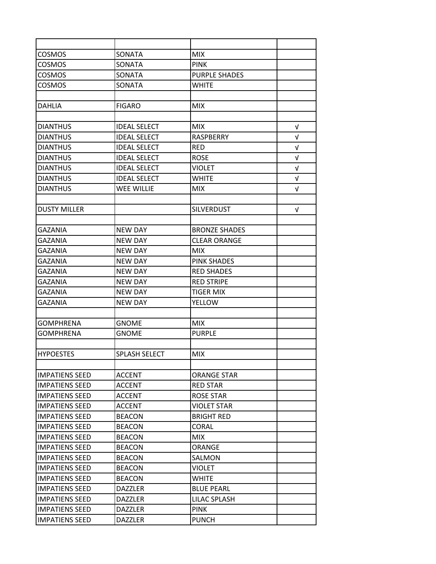| <b>COSMOS</b>         | <b>SONATA</b>       | <b>MIX</b>           |            |
|-----------------------|---------------------|----------------------|------------|
| <b>COSMOS</b>         | SONATA              | <b>PINK</b>          |            |
| <b>COSMOS</b>         | SONATA              | <b>PURPLE SHADES</b> |            |
| <b>COSMOS</b>         | SONATA              | <b>WHITE</b>         |            |
|                       |                     |                      |            |
| <b>DAHLIA</b>         | <b>FIGARO</b>       | <b>MIX</b>           |            |
|                       |                     |                      |            |
| <b>DIANTHUS</b>       | <b>IDEAL SELECT</b> | <b>MIX</b>           | V          |
| <b>DIANTHUS</b>       | <b>IDEAL SELECT</b> | RASPBERRY            | $\sqrt{ }$ |
| <b>DIANTHUS</b>       | <b>IDEAL SELECT</b> | <b>RED</b>           | V          |
| <b>DIANTHUS</b>       | <b>IDEAL SELECT</b> | <b>ROSE</b>          | $\sqrt{ }$ |
| <b>DIANTHUS</b>       | <b>IDEAL SELECT</b> | <b>VIOLET</b>        | V          |
| <b>DIANTHUS</b>       | <b>IDEAL SELECT</b> | WHITE                | V          |
| <b>DIANTHUS</b>       | <b>WEE WILLIE</b>   | <b>MIX</b>           | $\sqrt{ }$ |
|                       |                     |                      |            |
| <b>DUSTY MILLER</b>   |                     | <b>SILVERDUST</b>    | V          |
|                       |                     |                      |            |
| GAZANIA               | NEW DAY             | <b>BRONZE SHADES</b> |            |
| GAZANIA               | NEW DAY             | <b>CLEAR ORANGE</b>  |            |
| GAZANIA               | NEW DAY             | MIX.                 |            |
| <b>GAZANIA</b>        | <b>NEW DAY</b>      | <b>PINK SHADES</b>   |            |
| GAZANIA               | <b>NEW DAY</b>      | <b>RED SHADES</b>    |            |
| GAZANIA               | <b>NEW DAY</b>      | <b>RED STRIPE</b>    |            |
| GAZANIA               | <b>NEW DAY</b>      | TIGER MIX            |            |
| GAZANIA               | <b>NEW DAY</b>      | YELLOW               |            |
|                       |                     |                      |            |
| GOMPHRENA             | GNOME               | <b>MIX</b>           |            |
| <b>GOMPHRENA</b>      | <b>GNOME</b>        | <b>PURPLE</b>        |            |
|                       |                     |                      |            |
| <b>HYPOESTES</b>      | SPLASH SELECT       | <b>MIX</b>           |            |
|                       |                     |                      |            |
| <b>IMPATIENS SEED</b> | <b>ACCENT</b>       | <b>ORANGE STAR</b>   |            |
| <b>IMPATIENS SEED</b> | <b>ACCENT</b>       | <b>RED STAR</b>      |            |
| <b>IMPATIENS SEED</b> | <b>ACCENT</b>       | <b>ROSE STAR</b>     |            |
| <b>IMPATIENS SEED</b> | <b>ACCENT</b>       | <b>VIOLET STAR</b>   |            |
| <b>IMPATIENS SEED</b> | <b>BEACON</b>       | <b>BRIGHT RED</b>    |            |
| <b>IMPATIENS SEED</b> | <b>BEACON</b>       | CORAL                |            |
| <b>IMPATIENS SEED</b> | <b>BEACON</b>       | <b>MIX</b>           |            |
| <b>IMPATIENS SEED</b> | <b>BEACON</b>       | ORANGE               |            |
| <b>IMPATIENS SEED</b> | <b>BEACON</b>       | SALMON               |            |
| <b>IMPATIENS SEED</b> | <b>BEACON</b>       | VIOLET               |            |
| <b>IMPATIENS SEED</b> | <b>BEACON</b>       | <b>WHITE</b>         |            |
| <b>IMPATIENS SEED</b> | <b>DAZZLER</b>      | <b>BLUE PEARL</b>    |            |
| <b>IMPATIENS SEED</b> | <b>DAZZLER</b>      | <b>LILAC SPLASH</b>  |            |
| <b>IMPATIENS SEED</b> | <b>DAZZLER</b>      | <b>PINK</b>          |            |
| <b>IMPATIENS SEED</b> | DAZZLER             | <b>PUNCH</b>         |            |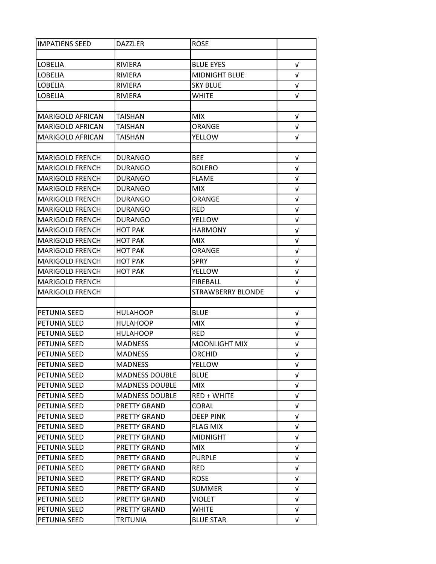| <b>IMPATIENS SEED</b>   | <b>DAZZLER</b>        | <b>ROSE</b>          |            |
|-------------------------|-----------------------|----------------------|------------|
|                         |                       |                      |            |
| <b>LOBELIA</b>          | RIVIERA               | <b>BLUE EYES</b>     | $\sqrt{ }$ |
| LOBELIA                 | RIVIERA               | <b>MIDNIGHT BLUE</b> | $\sqrt{ }$ |
| <b>LOBELIA</b>          | RIVIERA               | <b>SKY BLUE</b>      | V          |
| <b>LOBELIA</b>          | <b>RIVIERA</b>        | <b>WHITE</b>         | V          |
|                         |                       |                      |            |
| <b>MARIGOLD AFRICAN</b> | TAISHAN               | <b>MIX</b>           | V          |
| <b>MARIGOLD AFRICAN</b> | <b>TAISHAN</b>        | ORANGE               | V          |
| <b>MARIGOLD AFRICAN</b> | <b>TAISHAN</b>        | <b>YELLOW</b>        | V          |
|                         |                       |                      |            |
| <b>MARIGOLD FRENCH</b>  | <b>DURANGO</b>        | <b>BEE</b>           | $\sqrt{ }$ |
| <b>MARIGOLD FRENCH</b>  | <b>DURANGO</b>        | <b>BOLERO</b>        | V          |
| <b>MARIGOLD FRENCH</b>  | <b>DURANGO</b>        | <b>FLAME</b>         | V          |
| <b>MARIGOLD FRENCH</b>  | <b>DURANGO</b>        | <b>MIX</b>           | $\sqrt{ }$ |
| <b>MARIGOLD FRENCH</b>  | <b>DURANGO</b>        | <b>ORANGE</b>        | $\sqrt{ }$ |
| <b>MARIGOLD FRENCH</b>  | <b>DURANGO</b>        | <b>RED</b>           | V          |
| <b>MARIGOLD FRENCH</b>  | DURANGO               | <b>YELLOW</b>        | $\sqrt{ }$ |
| <b>MARIGOLD FRENCH</b>  | <b>HOT PAK</b>        | <b>HARMONY</b>       | $\sqrt{ }$ |
| <b>MARIGOLD FRENCH</b>  | <b>HOT PAK</b>        | MIX.                 | $\sqrt{ }$ |
| <b>MARIGOLD FRENCH</b>  | НОТ РАК               | <b>ORANGE</b>        | $\sqrt{ }$ |
| <b>MARIGOLD FRENCH</b>  | <b>HOT PAK</b>        | <b>SPRY</b>          | $\sqrt{ }$ |
| <b>MARIGOLD FRENCH</b>  | HOT PAK               | <b>YELLOW</b>        | $\sqrt{ }$ |
| <b>MARIGOLD FRENCH</b>  |                       | <b>FIREBALL</b>      | $\sqrt{ }$ |
| <b>MARIGOLD FRENCH</b>  |                       | STRAWBERRY BLONDE    | v          |
|                         |                       |                      |            |
| PETUNIA SEED            | HULAHOOP              | <b>BLUE</b>          | v          |
| PETUNIA SEED            | <b>HULAHOOP</b>       | <b>MIX</b>           | V          |
| PETUNIA SEED            | <b>HULAHOOP</b>       | <b>RED</b>           | $\sqrt{ }$ |
| <b>PETUNIA SEED</b>     | <b>MADNESS</b>        | <b>MOONLIGHT MIX</b> | $\sqrt{ }$ |
| PETUNIA SEED            | <b>MADNESS</b>        | <b>ORCHID</b>        | $\sqrt{ }$ |
| PETUNIA SEED            | <b>MADNESS</b>        | <b>YELLOW</b>        | V          |
| PETUNIA SEED            | <b>MADNESS DOUBLE</b> | <b>BLUE</b>          | V          |
| PETUNIA SEED            | <b>MADNESS DOUBLE</b> | <b>MIX</b>           | $\sqrt{ }$ |
| PETUNIA SEED            | <b>MADNESS DOUBLE</b> | <b>RED + WHITE</b>   | V          |
| PETUNIA SEED            | PRETTY GRAND          | <b>CORAL</b>         | $\sqrt{ }$ |
| PETUNIA SEED            | PRETTY GRAND          | <b>DEEP PINK</b>     | $\sqrt{ }$ |
| PETUNIA SEED            | PRETTY GRAND          | FLAG MIX             | V          |
| PETUNIA SEED            | PRETTY GRAND          | <b>MIDNIGHT</b>      | V          |
| PETUNIA SEED            | PRETTY GRAND          | MIX.                 | V          |
| PETUNIA SEED            | PRETTY GRAND          | <b>PURPLE</b>        | V          |
| PETUNIA SEED            | PRETTY GRAND          | <b>RED</b>           | V          |
| PETUNIA SEED            | PRETTY GRAND          | <b>ROSE</b>          | $\sqrt{ }$ |
| PETUNIA SEED            | PRETTY GRAND          | <b>SUMMER</b>        | $\sqrt{ }$ |
| PETUNIA SEED            | PRETTY GRAND          | <b>VIOLET</b>        | V          |
|                         |                       |                      |            |
| PETUNIA SEED            | PRETTY GRAND          | <b>WHITE</b>         | $\sqrt{ }$ |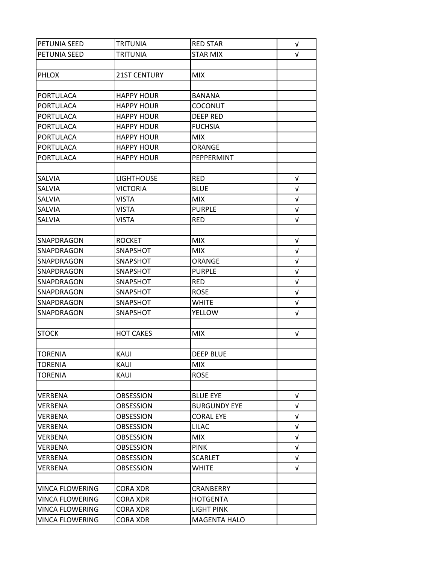| <b>PETUNIA SEED</b>    | <b>TRITUNIA</b>     | <b>RED STAR</b>     | V          |
|------------------------|---------------------|---------------------|------------|
| PETUNIA SEED           | <b>TRITUNIA</b>     | <b>STAR MIX</b>     | $\sqrt{ }$ |
|                        |                     |                     |            |
| <b>PHLOX</b>           | <b>21ST CENTURY</b> | <b>MIX</b>          |            |
|                        |                     |                     |            |
| PORTULACA              | <b>HAPPY HOUR</b>   | <b>BANANA</b>       |            |
| PORTULACA              | <b>HAPPY HOUR</b>   | COCONUT             |            |
| <b>PORTULACA</b>       | <b>HAPPY HOUR</b>   | <b>DEEP RED</b>     |            |
| <b>PORTULACA</b>       | <b>HAPPY HOUR</b>   | <b>FUCHSIA</b>      |            |
| <b>PORTULACA</b>       | <b>HAPPY HOUR</b>   | <b>MIX</b>          |            |
| <b>PORTULACA</b>       | <b>HAPPY HOUR</b>   | ORANGE              |            |
| <b>PORTULACA</b>       | <b>HAPPY HOUR</b>   | PEPPERMINT          |            |
|                        |                     |                     |            |
| SALVIA                 | <b>LIGHTHOUSE</b>   | <b>RED</b>          | $\sqrt{ }$ |
| <b>SALVIA</b>          | <b>VICTORIA</b>     | <b>BLUE</b>         | V          |
| <b>SALVIA</b>          | <b>VISTA</b>        | <b>MIX</b>          | $\sqrt{ }$ |
| SALVIA                 | <b>VISTA</b>        | <b>PURPLE</b>       | $\sqrt{ }$ |
| <b>SALVIA</b>          | <b>VISTA</b>        | <b>RED</b>          | $\sqrt{ }$ |
|                        |                     |                     |            |
| SNAPDRAGON             | <b>ROCKET</b>       | <b>MIX</b>          | V          |
| SNAPDRAGON             | SNAPSHOT            | <b>MIX</b>          | $\sqrt{ }$ |
| SNAPDRAGON             | SNAPSHOT            | <b>ORANGE</b>       | $\sqrt{ }$ |
| SNAPDRAGON             | SNAPSHOT            | <b>PURPLE</b>       | $\sqrt{ }$ |
| SNAPDRAGON             | SNAPSHOT            | <b>RED</b>          | $\sqrt{ }$ |
| SNAPDRAGON             | SNAPSHOT            | <b>ROSE</b>         | V          |
| SNAPDRAGON             | SNAPSHOT            | <b>WHITE</b>        | $\sqrt{ }$ |
| SNAPDRAGON             | SNAPSHOT            | <b>YELLOW</b>       | V          |
|                        |                     |                     |            |
| <b>STOCK</b>           | <b>HOT CAKES</b>    | <b>MIX</b>          | $\sqrt{ }$ |
|                        |                     |                     |            |
| <b>TORENIA</b>         | KAUI                | <b>DEEP BLUE</b>    |            |
| <b>TORENIA</b>         | KAUI                | <b>MIX</b>          |            |
| <b>TORENIA</b>         | KAUI                | <b>ROSE</b>         |            |
|                        |                     |                     |            |
| VERBENA                | <b>OBSESSION</b>    | <b>BLUE EYE</b>     | $\sqrt{ }$ |
| VERBENA                | <b>OBSESSION</b>    | <b>BURGUNDY EYE</b> | V          |
| <b>VERBENA</b>         | <b>OBSESSION</b>    | <b>CORAL EYE</b>    | $\sqrt{ }$ |
| VERBENA                | <b>OBSESSION</b>    | <b>LILAC</b>        | $\sqrt{ }$ |
| <b>VERBENA</b>         | <b>OBSESSION</b>    | <b>MIX</b>          | V          |
| VERBENA                | <b>OBSESSION</b>    | <b>PINK</b>         | $\sqrt{ }$ |
| VERBENA                | <b>OBSESSION</b>    | <b>SCARLET</b>      | V          |
| VERBENA                | <b>OBSESSION</b>    | <b>WHITE</b>        | $\sqrt{ }$ |
|                        |                     |                     |            |
| VINCA FLOWERING        | <b>CORA XDR</b>     | <b>CRANBERRY</b>    |            |
| <b>VINCA FLOWERING</b> | CORA XDR            | <b>HOTGENTA</b>     |            |
| <b>VINCA FLOWERING</b> | CORA XDR            | <b>LIGHT PINK</b>   |            |
| <b>VINCA FLOWERING</b> | <b>CORA XDR</b>     | <b>MAGENTA HALO</b> |            |